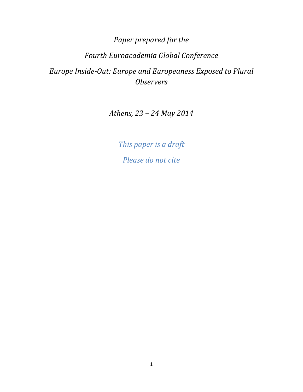Paper prepared for the

# Fourth Euroacademia Global Conference

Europe Inside-Out: Europe and Europeaness Exposed to Plural **Observers** 

Athens, 23 – 24 May 2014

This paper is a draft Please do not cite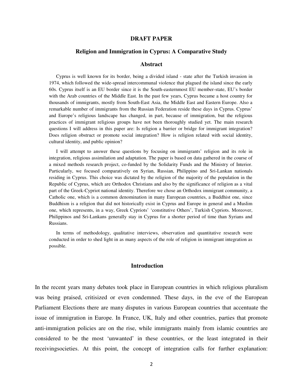#### **DRAFT PAPER**

#### **Religion and Immigration in Cyprus: A Comparative Study**

#### **Abstract**

Cyprus is well known for its border, being a divided island - state after the Turkish invasion in 1974, which followed the wide-spread intercommunal violence that plagued the island since the early 60s. Cyprus itself is an EU border since it is the South-easternmost EU member-state, EU's border with the Arab countries of the Middle East. In the past few years, Cyprus became a host country for thousands of immigrants, mostly from South-East Asia, the Middle East and Eastern Europe. Also a remarkable number of immigrants from the Russian Federation reside these days in Cyprus. Cyprus' and Europe's religious landscape has changed, in part, because of immigration, but the religious practices of immigrant religious groups have not been thoroughly studied yet. The main research questions I will address in this paper are: Is religion a barrier or bridge for immigrant integration? Does religion obstruct or promote social integration? How is religion related with social identity, cultural identity, and public opinion?

I will attempt to answer these questions by focusing on immigrants' religion and its role in integration, religious assimilation and adaptation. The paper is based on data gathered in the course of a mixed methods research project, co-funded by the Solidarity Funds and the Ministry of Interior. Particularly, we focused comparatively on Syrian, Russian, Philippino and Sri-Lankan nationals residing in Cyprus. This choice was dictated by the religion of the majority of the population in the Republic of Cyprus, which are Orthodox Christians and also by the significance of religion as a vital part of the Greek-Cypriot national identity. Therefore we chose an Orthodox immigrant community, a Catholic one, which is a common denomination in many European countries, a Buddhist one, since Buddhism is a religion that did not historically exist in Cyprus and Europe in general and a Muslim one, which represents, in a way, Greek Cypriots' 'constitutive Others', Turkish Cypriots. Moreover, Philippinos and Sri-Lankans generally stay in Cyprus for a shorter period of time than Syrians and Russians.

In terms of methodology, qualitative interviews, observation and quantitative research were conducted in order to shed light in as many aspects of the role of religion in immigrant integration as possible.

#### **Introduction**

In the recent years many debates took place in European countries in which religious pluralism was being praised, critisized or even condemned. These days, in the eve of the European Parliament Elections there are many disputes in various European countries that accentuate the issue of immigration in Europe. In France, UK, Italy and other countries, parties that promote anti-immigration policies are on the rise, while immigrants mainly from islamic countries are considered to be the most 'unwanted' in these countries, or the least integrated in their receivingsocieties. At this point, the concept of integration calls for further explanation: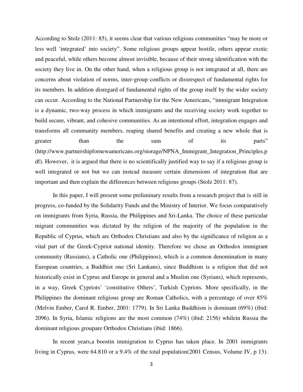According to Stolz (2011: 85), it seems clear that various religious communities "may be more or less well 'integrated' into society". Some religious groups appear hostile, others appear exotic and peaceful, while others become almost invisible, because of their strong identification with the society they live in. On the other hand, when a religious group is not integrated at all, there are concerns about violation of norms, inter-group conflicts or dissrespect of fundamental rights for its members. In addition disregard of fundamental rights of the group itself by the wider society can occur. According to the National Partnership for the New Americans, "immigrant Integration is a dynamic, two-way process in which immigrants and the receiving society work together to build secure, vibrant, and cohesive communities. As an intentional effort, integration engages and transforms all community members, reaping shared benefits and creating a new whole that is greater than the sum of its parts" (http://www.partnershipfornewamericans.org/storage/NPNA\_Immigrant\_Integration\_Principles.p df). However, it is argued that there is no scientifically justified way to say if a religious group is well integrated or not but we can instead measure certain dimensions of integration that are important and then explain the differences between religious groups (Stolz 2011: 87).

In this paper, I will present some preliminary results from a research project that is still in progress, co-funded by the Solidarity Funds and the Ministry of Interior. We focus comparatively on immigrants from Syria, Russia, the Philippines and Sri-Lanka. The choice of these particular migrant communities was dictated by the religion of the majority of the population in the Republic of Cyprus, which are Orthodox Christians and also by the significance of religion as a vital part of the Greek-Cypriot national identity. Therefore we chose an Orthodox immigrant community (Russians), a Catholic one (Philippinos), which is a common denomination in many European countries, a Buddhist one (Sri Lankans), since Buddhism is a religion that did not historically exist in Cyprus and Europe in general and a Muslim one (Syrians), which represents, in a way, Greek Cypriots' 'constitutive Others', Turkish Cypriots. More specifically, in the Philippines the dominant religious group are Roman Catholics, with a percentage of over 85% (Melvin Ember, Carol R. Ember, 2001: 1779). In Sri Lanka Buddhism is dominant (69%) (ibid: 2096). In Syria, Islamic religions are the most common (74%) (ibid: 2156) whilein Russia the dominant religious groupare Orthodox Christians (ibid: 1866).

In recent years,a boostin immigration to Cyprus has taken place. In 2001 immigrants living in Cyprus, were 64.810 or a 9.4% of the total population(2001 Census, Volume IV, p 13).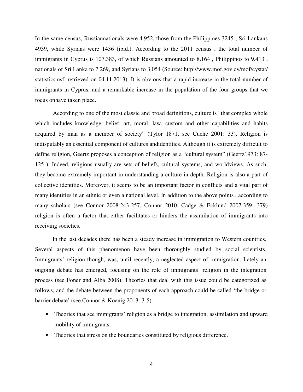In the same census, Russiannationals were 4.952, those from the Philippines 3245 , Sri Lankans 4939, while Syrians were 1436 (ibid.). According to the 2011 census , the total number of immigrants in Cyprus is 107.383, of which Russians amounted to 8.164 , Philippinos to 9.413 , nationals of Sri Lanka to 7.269, and Syrians to 3.054 (Source: http://www.mof.gov.cy/mof/cystat/ statistics.nsf, retrieved on 04.11.2013). It is obvious that a rapid increase in the total number of immigrants in Cyprus, and a remarkable increase in the population of the four groups that we focus onhave taken place.

According to one of the most classic and broad definitions, culture is "that complex whole which includes knowledge, belief, art, moral, law, custom and other capabilities and habits acquired by man as a member of society" (Tylor 1871, see Cuche 2001: 33). Religion is indisputably an essential component of cultures andidentities. Although it is extremely difficult to define religion, Geertz proposes a conception of religion as a "cultural system" (Geertz1973: 87- 125 ). Indeed, religions usually are sets of beliefs, cultural systems, and worldviews. As such, they become extremely important in understanding a culture in depth. Religion is also a part of collective identities. Moreover, it seems to be an important factor in conflicts and a vital part of many identities in an ethnic or even a national level. In addition to the above points , according to many scholars (see Connor 2008:243-257, Connor 2010, Cadge & Ecklund 2007:359 -379) religion is often a factor that either facilitates or hinders the assimilation of immigrants into receiving societies.

In the last decades there has been a steady increase in immigration to Western countries. Several aspects of this phenomenon have been thoroughly studied by social scientists. Immigrants' religion though, was, until recently, a neglected aspect of immigration. Lately an ongoing debate has emerged, focusing on the role of immigrants' religion in the integration process (see Foner and Alba 2008). Theories that deal with this issue could be categorized as follows, and the debate between the proponents of each approach could be called 'the bridge or barrier debate' (see Connor & Koenig 2013: 3-5):

- Theories that see immigrants' religion as a bridge to integration, assimilation and upward mobility of immigrants.
- Theories that stress on the boundaries constituted by religious difference.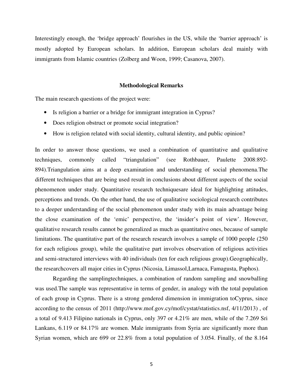Interestingly enough, the 'bridge approach' flourishes in the US, while the 'barrier approach' is mostly adopted by European scholars. In addition, European scholars deal mainly with immigrants from Islamic countries (Zolberg and Woon, 1999; Casanova, 2007).

# **Methodological Remarks**

The main research questions of the project were:

- Is religion a barrier or a bridge for immigrant integration in Cyprus?
- Does religion obstruct or promote social integration?
- How is religion related with social identity, cultural identity, and public opinion?

In order to answer those questions, we used a combination of quantitative and qualitative techniques, commonly called "triangulation" (see Rothbauer, Paulette 2008:892- 894).Triangulation aims at a deep examination and understanding of social phenomena.The different techniques that are being used result in conclusions about different aspects of the social phenomenon under study. Quantitative research techniquesare ideal for highlighting attitudes, perceptions and trends. On the other hand, the use of qualitative sociological research contributes to a deeper understanding of the social phenomenon under study with its main advantage being the close examination of the 'emic' perspective, the 'insider's point of view'. However, qualitative research results cannot be generalized as much as quantitative ones, because of sample limitations. The quantitative part of the research research involves a sample of 1000 people (250 for each religious group), while the qualitative part involves observation of religious activities and semi-structured interviews with 40 individuals (ten for each religious group).Geographically, the researchcovers all major cities in Cyprus (Nicosia, Limassol,Larnaca, Famagusta, Paphos).

Regarding the samplingtechniques, a combination of random sampling and snowballing was used.The sample was representative in terms of gender, in analogy with the total population of each group in Cyprus. There is a strong gendered dimension in immigration toCyprus, since according to the census of 2011 (http://www.mof.gov.cy/mof/cystat/statistics.nsf, 4/11/2013) , of a total of 9.413 Filipino nationals in Cyprus, only 397 or 4.21% are men, while of the 7.269 Sri Lankans, 6.119 or 84.17% are women. Male immigrants from Syria are significantly more than Syrian women, which are 699 or 22.8% from a total population of 3.054. Finally, of the 8.164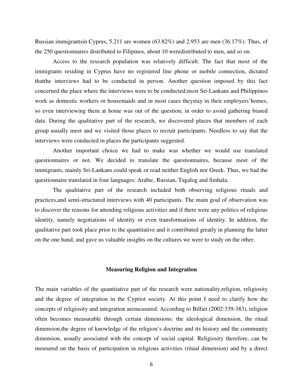Russian immigrantsin Cyprus, 5.211 are women (63.82%) and 2.953 are men (36.17%). Thus, of the 250 questionnaires distributed to Filipinos, about 10 weredistributed to men, and so on.

Access to the research population was relatively difficult. The fact that most of the immigrants residing in Cyprus have no registered line phone or mobile connection, dictated thatthe interviews had to be conducted in person. Another question imposed by this fact concerned the place where the interviews were to be conducted;most Sri-Lankans and Philippinos work as domestic workers or housemaids and in most cases theystay in their employers'homes, so even interviewing them at home was out of the question, in order to avoid gathering biased data. During the qualitative part of the research, we discovered places that members of each group usually meet and we visited those places to recruit participants. Needless to say that the interviews were conducted in places the participants suggested.

Another important choice we had to make was whether we would use translated questionnaires or not. We decided to translate the questionnaires, because most of the immigrants, mainly Sri-Lankans could speak or read neither English nor Greek. Thus, we had the questionnaire translated in four languages: Arabic, Russian, Tagalog and Sinhala.

The qualitative part of the research included both observing religious rituals and practices,and semi-structured interviews with 40 participants. The main goal of observation was to discover the reasons for attending religious activities and if there were any politics of religious identity, namely negotiations of identity or even transformations of identity. In addition, the qualitative part took place prior to the quantitative and it contributed greatly in planning the latter on the one hand, and gave us valuable insights on the cultures we were to study on the other.

# **Measuring Religion and Integration**

The main variables of the quantitative part of the research were nationality,religion, religiosity and the degree of integration in the Cypriot society. At this point I need to clarify how the concepts of religiosity and integration aremeasured. According to Billiet (2002:339-383), religion often becomes measurable through certain dimensions: the ideological dimension, the ritual dimension,the degree of knowledge of the religion's doctrine and its history and the community dimension, usually associated with the concept of social capital. Religiosity therefore, can be measured on the basis of participation in religious activities (ritual dimension) and by a direct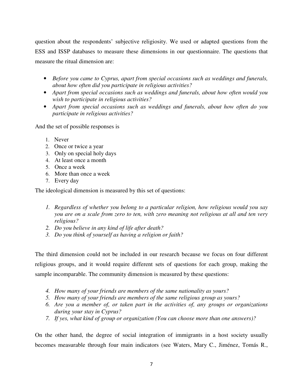question about the respondents' subjective religiosity. We used or adapted questions from the ESS and ISSP databases to measure these dimensions in our questionnaire. The questions that measure the ritual dimension are:

- *Before you came to Cyprus, apart from special occasions such as weddings and funerals, about how often did you participate in religious activities?*
- *Apart from special occasions such as weddings and funerals, about how often would you wish to participate in religious activities?*
- *Apart from special occasions such as weddings and funerals, about how often do you participate in religious activities?*

And the set of possible responses is

- 1. Never
- 2. Once or twice a year
- 3. Only on special holy days
- 4. At least once a month
- 5. Once a week
- 6. More than once a week
- 7. Every day

The ideological dimension is measured by this set of questions:

- *1. Regardless of whether you belong to a particular religion, how religious would you say you are on a scale from zero to ten, with zero meaning not religious at all and ten very religious?*
- *2. Do you believe in any kind of life after death?*
- *3. Do you think of yourself as having a religion or faith?*

The third dimension could not be included in our research because we focus on four different religious groups, and it would require different sets of questions for each group, making the sample incomparable. The community dimension is measured by these questions:

- *4. How many of your friends are members of the same nationality as yours?*
- *5. How many of your friends are members of the same religious group as yours?*
- *6. Are you a member of, or taken part in the activities of, any groups or organizations during your stay in Cyprus?*
- *7. If yes, what kind of group or organization (You can choose more than one answers)?*

On the other hand, the degree of social integration of immigrants in a host society usually becomes measurable through four main indicators (see Waters, Mary C., Jiménez, Tomás R.,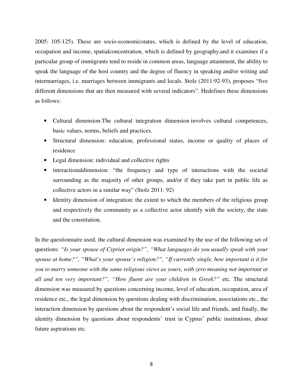2005: 105-125). These are socio-economicstatus, which is defined by the level of education, occupation and income, spatialconcentration, which is defined by geography,and it examines if a particular group of immigrants tend to reside in common areas, language attainment, the ability to speak the language of the host country and the degree of fluency in speaking and/or writing and intermarriages, i.e. marriages between immigrants and locals. Stolz (2011:92-93), proposes "five different dimensions that are then measured with several indicators". Hedefines these dimensions as follows:

- Cultural dimension:The cultural integration dimension involves cultural competences, basic values, norms, beliefs and practices.
- Structural dimension: education, professional status, income or quality of places of residence
- Legal dimension: individual and collective rights
- interactionaldimension: "the frequency and type of interactions with the societal surrounding as the majority of other groups, and/or if they take part in public life as collective actors in a similar way" (Stolz 2011: 92)
- Identity dimension of integration: the extent to which the members of the religious group and respectively the community as a collective actor identify with the society, the state and the constitution.

In the questionnaire used, the cultural dimension was examined by the use of the following set of questions: *"Is your spouse of Cypriot origin?", "What languages do you usually speak with your spouse at home?", "What's your spouse's religion?", "If currently single, how important is it for you to marry someone with the same religious views as yours, with zero meaning not important at all and ten very important?", "How fluent are your children in Greek?"* etc. The structural dimension was measured by questions concerning income, level of education, occupation, area of residence etc., the legal dimension by questions dealing with discrimination, associations etc., the interaction dimension by questions about the respondent's social life and friends, and finally, the identity dimension by questions about respondents' trust in Cyprus' public institutions, about future aspirations etc.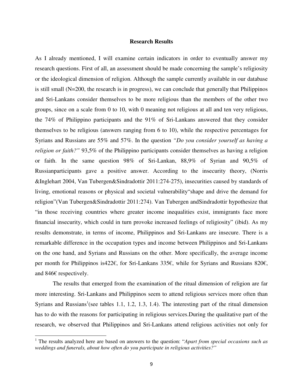#### **Research Results**

As I already mentioned, I will examine certain indicators in order to eventually answer my research questions. First of all, an assessment should be made concerning the sample's religiosity or the ideological dimension of religion. Although the sample currently available in our database is still small (N=200, the research is in progress), we can conclude that generally that Philippinos and Sri-Lankans consider themselves to be more religious than the members of the other two groups, since on a scale from 0 to 10, with 0 meaning not religious at all and ten very religious, the 74% of Philippino participants and the 91% of Sri-Lankans answered that they consider themselves to be religious (answers ranging from 6 to 10), while the respective percentages for Syrians and Russians are 55% and 57%. In the question *"Do you consider yourself as having a religion or faith?"* 93,5% of the Philippino participants consider themselves as having a religion or faith. In the same question 98% of Sri-Lankan, 88,9% of Syrian and 90,5% of Russianparticipants gave a positive answer. According to the insecurity theory, (Norris &Inglehart 2004, Van Tubergen&Sindradottir 2011:274-275), insecurities caused by standards of living, emotional reasons or physical and societal vulnerability"shape and drive the demand for religion"(Van Tubergen&Sindradottir 2011:274). Van Tubergen andSindradottir hypothesize that "in those receiving countries where greater income inequalities exist, immigrants face more financial insecurity, which could in turn provoke increased feelings of religiosity" (ibid). As my results demonstrate, in terms of income, Philippinos and Sri-Lankans are insecure. There is a remarkable difference in the occupation types and income between Philippinos and Sri-Lankans on the one hand, and Syrians and Russians on the other. More specifically, the average income per month for Philippinos is422€, for Sri-Lankans 335€, while for Syrians and Russians 820€, and 846€ respectively.

The results that emerged from the examination of the ritual dimension of religion are far more interesting. Sri-Lankans and Philippinos seem to attend religious services more often than Syrians and Russians<sup>1</sup> (see tables 1.1, 1.2, 1.3, 1.4). The interesting part of the ritual dimension has to do with the reasons for participating in religious services.During the qualitative part of the research, we observed that Philippinos and Sri-Lankans attend religious activities not only for

 $\overline{a}$ 

<sup>&</sup>lt;sup>1</sup> The results analyzed here are based on answers to the question: "*Apart from special occasions such as weddings and funerals, about how often do you participate in religious activities?"*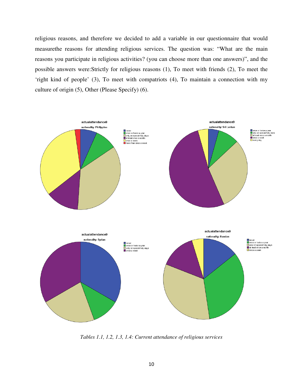religious reasons, and therefore we decided to add a variable in our questionnaire that would measurethe reasons for attending religious services. The question was: "What are the main reasons you participate in religious activities? (you can choose more than one answers)", and the possible answers were:Strictly for religious reasons (1), To meet with friends (2), To meet the 'right kind of people' (3), To meet with compatriots (4), To maintain a connection with my culture of origin (5), Other (Please Specify) (6).



*Tables 1.1, 1.2, 1.3, 1.4: Current attendance of religious services*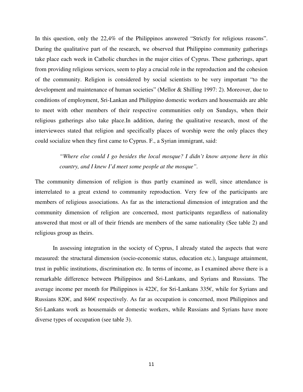In this question, only the 22,4% of the Philippinos answered "Strictly for religious reasons". During the qualitative part of the research, we observed that Philippino community gatherings take place each week in Catholic churches in the major cities of Cyprus. These gatherings, apart from providing religious services, seem to play a crucial role in the reproduction and the cohesion of the community. Religion is considered by social scientists to be very important "to the development and maintenance of human societies" (Mellor & Shilling 1997: 2). Moreover, due to conditions of employment, Sri-Lankan and Philippino domestic workers and housemaids are able to meet with other members of their respective communities only on Sundays, when their religious gatherings also take place.In addition, during the qualitative research, most of the interviewees stated that religion and specifically places of worship were the only places they could socialize when they first came to Cyprus. F., a Syrian immigrant, said:

> *"Where else could I go besides the local mosque? I didn't know anyone here in this country, and I knew I'd meet some people at the mosque".*

The community dimension of religion is thus partly examined as well, since attendance is interrelated to a great extend to community reproduction. Very few of the participants are members of religious associations. As far as the interactional dimension of integration and the community dimension of religion are concerned, most participants regardless of nationality answered that most or all of their friends are members of the same nationality (See table 2) and religious group as theirs.

In assessing integration in the society of Cyprus, I already stated the aspects that were measured: the structural dimension (socio-economic status, education etc.), language attainment, trust in public institutions, discrimination etc. In terms of income, as I examined above there is a remarkable difference between Philippinos and Sri-Lankans, and Syrians and Russians. The average income per month for Philippinos is 422€, for Sri-Lankans 335€, while for Syrians and Russians 820€, and 846€ respectively. As far as occupation is concerned, most Philippinos and Sri-Lankans work as housemaids or domestic workers, while Russians and Syrians have more diverse types of occupation (see table 3).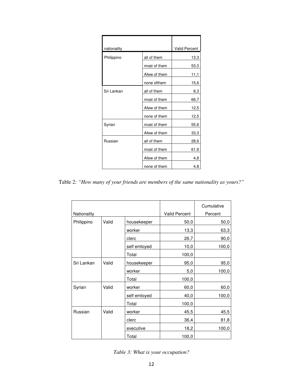| nationality | <b>Valid Percent</b> |      |
|-------------|----------------------|------|
| Philippino  | all of them          | 13,3 |
|             | most of them         | 53,3 |
|             | Afew of them         | 11,1 |
|             | none ofthem          | 15,6 |
| Sri Lankan  | all of them          | 8,3  |
|             | most of them         | 66,7 |
|             | Afew of them         | 12,5 |
|             | none of them         | 12,5 |
| Syrian      | most of them         | 55,6 |
|             | Afew of them         | 33,3 |
| Russian     | all of them          | 28,6 |
|             | most of them         | 61,9 |
|             | Afew of them         | 4,8  |
|             | none of them         | 4,8  |

Table 2: *"How many of your friends are members of the same nationality as yours?"* 

|             |       |              | Cumulative           |         |
|-------------|-------|--------------|----------------------|---------|
| Nationality |       |              | <b>Valid Percent</b> | Percent |
| Philippino  | Valid | housekeeper  | 50,0                 | 50,0    |
|             |       | worker       | 13,3                 | 63,3    |
|             |       | clerc        | 26,7                 | 90,0    |
|             |       | self emloyed | 10,0                 | 100,0   |
|             |       | Total        | 100,0                |         |
| Sri Lankan  | Valid | housekeeper  | 95,0                 | 95,0    |
|             |       | worker       | 5,0                  | 100,0   |
|             |       | Total        | 100,0                |         |
| Syrian      | Valid | worker       | 60,0                 | 60,0    |
|             |       | self emloyed | 40,0                 | 100,0   |
|             |       | Total        | 100,0                |         |
| Russian     | Valid | worker       | 45,5                 | 45,5    |
|             |       | clerc        | 36,4                 | 81,8    |
|             |       | executive    | 18,2                 | 100,0   |
|             |       | Total        | 100,0                |         |

*Table 3: What is your occupation?*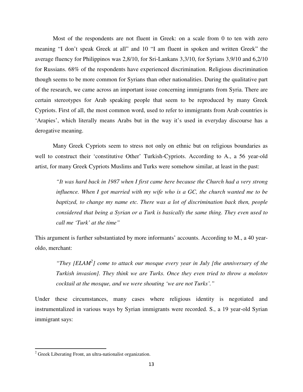Most of the respondents are not fluent in Greek: on a scale from 0 to ten with zero meaning "I don't speak Greek at all" and 10 "I am fluent in spoken and written Greek" the average fluency for Philippinos was 2,8/10, for Sri-Lankans 3,3/10, for Syrians 3,9/10 and 6,2/10 for Russians. 68% of the respondents have experienced discrimination. Religious discrimination though seems to be more common for Syrians than other nationalities. During the qualitative part of the research, we came across an important issue concerning immigrants from Syria. There are certain stereotypes for Arab speaking people that seem to be reproduced by many Greek Cypriots. First of all, the most common word, used to refer to immigrants from Arab countries is 'Arapies', which literally means Arabs but in the way it's used in everyday discourse has a derogative meaning.

Many Greek Cypriots seem to stress not only on ethnic but on religious boundaries as well to construct their 'constitutive Other' Turkish-Cypriots. According to A., a 56 year-old artist, for many Greek Cypriots Muslims and Turks were somehow similar, at least in the past:

*"It was hard back in 1987 when I first came here because the Church had a very strong influence. When I got married with my wife who is a GC, the church wanted me to be baptized, to change my name etc. There was a lot of discrimination back then, people considered that being a Syrian or a Turk is basically the same thing. They even used to call me 'Turk' at the time"* 

This argument is further substantiated by more informants' accounts. According to M., a 40 yearoldo, merchant:

*"They [ELAM<sup>2</sup> ] come to attack our mosque every year in July [the anniversary of the Turkish invasion]. They think we are Turks. Once they even tried to throw a molotov cocktail at the mosque, and we were shouting 'we are not Turks'."* 

Under these circumstances, many cases where religious identity is negotiated and instrumentalized in various ways by Syrian immigrants were recorded. S., a 19 year-old Syrian immigrant says:

 $\overline{a}$ 

<sup>&</sup>lt;sup>2</sup> Greek Liberating Front, an ultra-nationalist organization.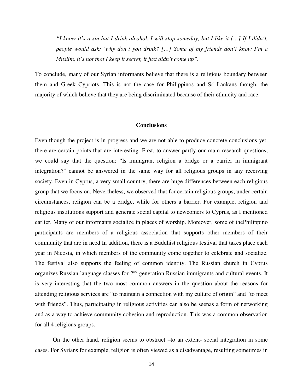*"I know it's a sin but I drink alcohol. I will stop someday, but I like it […] If I didn't, people would ask: 'why don't you drink? […] Some of my friends don't know I'm a Muslim, it's not that I keep it secret, it just didn't come up".* 

To conclude, many of our Syrian informants believe that there is a religious boundary between them and Greek Cypriots. This is not the case for Philippinos and Sri-Lankans though, the majority of which believe that they are being discriminated because of their ethnicity and race.

# **Conclusions**

Even though the project is in progress and we are not able to produce concrete conclusions yet, there are certain points that are interesting. First, to answer partly our main research questions, we could say that the question: "Is immigrant religion a bridge or a barrier in immigrant integration?" cannot be answered in the same way for all religious groups in any receiving society. Even in Cyprus, a very small country, there are huge differences between each religious group that we focus on. Nevertheless, we observed that for certain religious groups, under certain circumstances, religion can be a bridge, while for others a barrier. For example, religion and religious institutions support and generate social capital to newcomers to Cyprus, as I mentioned earlier. Many of our informants socialize in places of worship. Moreover, some of thePhilippino participants are members of a religious association that supports other members of their community that are in need.In addition, there is a Buddhist religious festival that takes place each year in Nicosia, in which members of the community come together to celebrate and socialize. The festival also supports the feeling of common identity. The Russian church in Cyprus organizes Russian language classes for  $2<sup>nd</sup>$  generation Russian immigrants and cultural events. It is very interesting that the two most common answers in the question about the reasons for attending religious services are "to maintain a connection with my culture of origin" and "to meet with friends". Thus, participating in religious activities can also be seenas a form of networking and as a way to achieve community cohesion and reproduction. This was a common observation for all 4 religious groups.

On the other hand, religion seems to obstruct –to an extent- social integration in some cases. For Syrians for example, religion is often viewed as a disadvantage, resulting sometimes in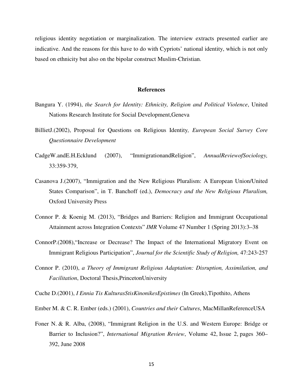religious identity negotiation or marginalization. The interview extracts presented earlier are indicative. And the reasons for this have to do with Cypriots' national identity, which is not only based on ethnicity but also on the bipolar construct Muslim-Christian.

#### **References**

- Βangura Y. (1994), *the Search for Identity: Ethnicity, Religion and Political Violence*, United Nations Research Institute for Social Development,Geneva
- BillietJ.(2002), Proposal for Questions on Religious Identity*, European Social Survey Core Questionnaire Development*
- CadgeW.andE.H.Ecklund (2007), "ImmigrationandReligion", *AnnualReviewofSociology,*  33:359‐379,
- Casanova J.(2007), "Immigration and the New Religious Pluralism: A European Union/United States Comparison", in T. Banchoff (ed.), *Democracy and the New Religious Pluralism,*  Oxford University Press
- Connor P. & Koenig M. (2013), "Bridges and Barriers: Religion and Immigrant Occupational Attainment across Integration Contexts" *IMR* Volume 47 Number 1 (Spring 2013):3–38
- ConnorP.(2008),"Increase or Decrease? The Impact of the International Migratory Event on Immigrant Religious Participation", *Journal for the Scientific Study of Religion,* 47:243‐257
- Connor P. (2010), *a Theory of Immigrant Religious Adaptation: Disruption, Assimilation, and Facilitation*, Doctoral Thesis,PrincetonUniversity
- Cuche D.(2001), *I Ennia Tis KulturasStisKinonikesEpistimes* (In Greek),Tipothito, Athens
- Ember M. & C. R. Ember (eds.) (2001), *Countries and their Cultures*, MacMillanReferenceUSA
- Foner N. & R. Alba, (2008), "Immigrant Religion in the U.S. and Western Europe: Bridge or Barrier to Inclusion?", *International Migration Review*, Volume 42, Issue 2, pages 360– 392, June 2008